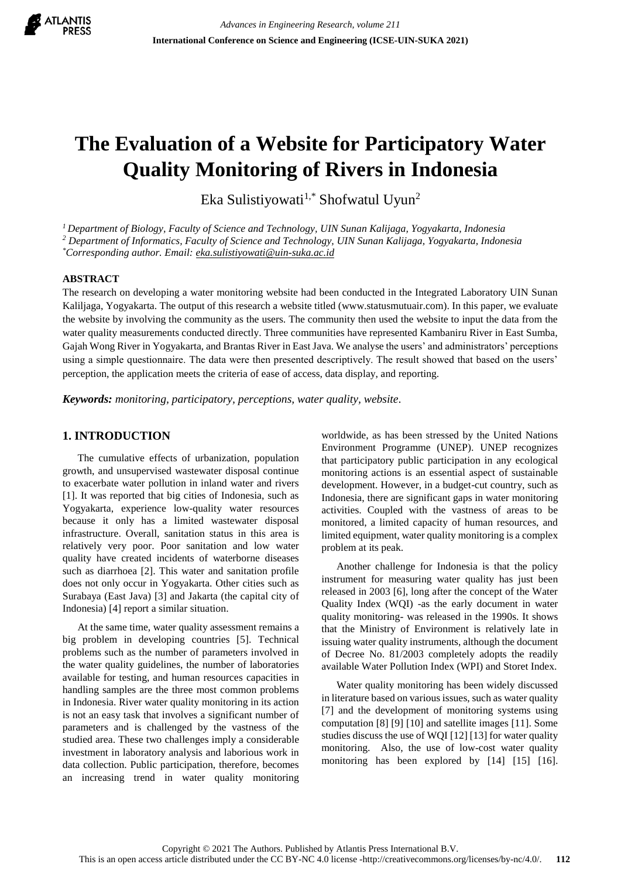

# **The Evaluation of a Website for Participatory Water Quality Monitoring of Rivers in Indonesia**

Eka Sulistiyowati<sup>1,\*</sup> Shofwatul Uyun<sup>2</sup>

*<sup>1</sup>Department of Biology, Faculty of Science and Technology, UIN Sunan Kalijaga, Yogyakarta, Indonesia*

*<sup>2</sup> Department of Informatics, Faculty of Science and Technology, UIN Sunan Kalijaga, Yogyakarta, Indonesia*

*\*Corresponding author. Email: eka.sulistiyowati@uin-suka.ac.id*

#### **ABSTRACT**

The research on developing a water monitoring website had been conducted in the Integrated Laboratory UIN Sunan Kaliljaga, Yogyakarta. The output of this research a website titled (www.statusmutuair.com). In this paper, we evaluate the website by involving the community as the users. The community then used the website to input the data from the water quality measurements conducted directly. Three communities have represented Kambaniru River in East Sumba, Gajah Wong River in Yogyakarta, and Brantas River in East Java. We analyse the users' and administrators' perceptions using a simple questionnaire. The data were then presented descriptively. The result showed that based on the users' perception, the application meets the criteria of ease of access, data display, and reporting.

*Keywords: monitoring, participatory, perceptions, water quality, website.*

## **1. INTRODUCTION**

The cumulative effects of urbanization, population growth, and unsupervised wastewater disposal continue to exacerbate water pollution in inland water and rivers [1]. It was reported that big cities of Indonesia, such as Yogyakarta, experience low-quality water resources because it only has a limited wastewater disposal infrastructure. Overall, sanitation status in this area is relatively very poor. Poor sanitation and low water quality have created incidents of waterborne diseases such as diarrhoea [2]. This water and sanitation profile does not only occur in Yogyakarta. Other cities such as Surabaya (East Java) [3] and Jakarta (the capital city of Indonesia) [4] report a similar situation.

At the same time, water quality assessment remains a big problem in developing countries [5]. Technical problems such as the number of parameters involved in the water quality guidelines, the number of laboratories available for testing, and human resources capacities in handling samples are the three most common problems in Indonesia. River water quality monitoring in its action is not an easy task that involves a significant number of parameters and is challenged by the vastness of the studied area. These two challenges imply a considerable investment in laboratory analysis and laborious work in data collection. Public participation, therefore, becomes an increasing trend in water quality monitoring worldwide, as has been stressed by the United Nations Environment Programme (UNEP). UNEP recognizes that participatory public participation in any ecological monitoring actions is an essential aspect of sustainable development. However, in a budget-cut country, such as Indonesia, there are significant gaps in water monitoring activities. Coupled with the vastness of areas to be monitored, a limited capacity of human resources, and limited equipment, water quality monitoring is a complex problem at its peak.

Another challenge for Indonesia is that the policy instrument for measuring water quality has just been released in 2003 [6], long after the concept of the Water Quality Index (WQI) -as the early document in water quality monitoring- was released in the 1990s. It shows that the Ministry of Environment is relatively late in issuing water quality instruments, although the document of Decree No. 81/2003 completely adopts the readily available Water Pollution Index (WPI) and Storet Index.

Water quality monitoring has been widely discussed in literature based on various issues, such as water quality [7] and the development of monitoring systems using computation [8] [9] [10] and satellite images [11]. Some studies discuss the use of WQI [12] [13] for water quality monitoring. Also, the use of low-cost water quality monitoring has been explored by [14] [15] [16].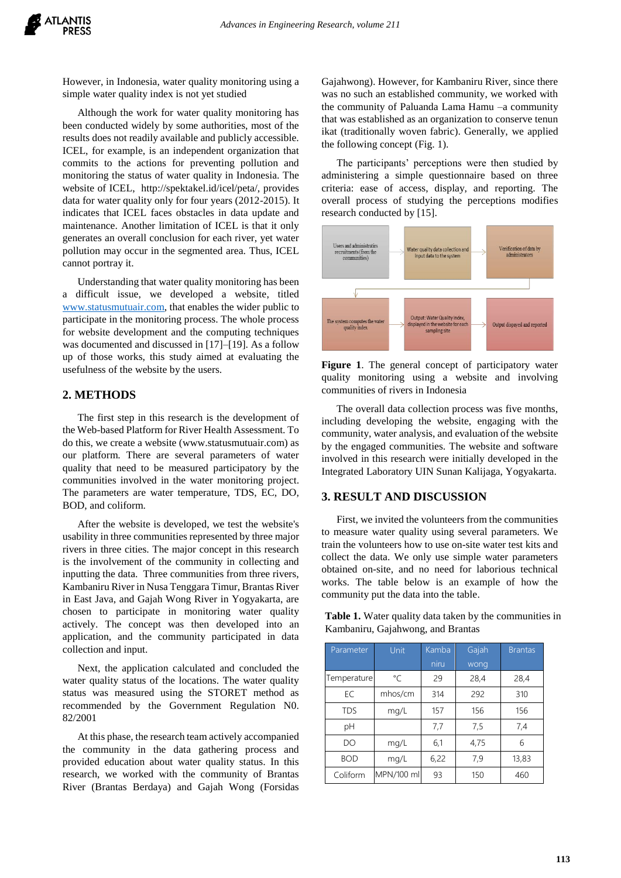However, in Indonesia, water quality monitoring using a simple water quality index is not yet studied

Although the work for water quality monitoring has been conducted widely by some authorities, most of the results does not readily available and publicly accessible. ICEL, for example, is an independent organization that commits to the actions for preventing pollution and monitoring the status of water quality in Indonesia. The website of ICEL, http://spektakel.id/icel/peta/, provides data for water quality only for four years (2012-2015). It indicates that ICEL faces obstacles in data update and maintenance. Another limitation of ICEL is that it only generates an overall conclusion for each river, yet water pollution may occur in the segmented area. Thus, ICEL cannot portray it.

Understanding that water quality monitoring has been a difficult issue, we developed a website, titled [www.statusmutuair.com,](http://www.statusmutuair.com/) that enables the wider public to participate in the monitoring process. The whole process for website development and the computing techniques was documented and discussed in [17]–[19]. As a follow up of those works, this study aimed at evaluating the usefulness of the website by the users.

### **2. METHODS**

The first step in this research is the development of the Web-based Platform for River Health Assessment. To do this, we create a website (www.statusmutuair.com) as our platform. There are several parameters of water quality that need to be measured participatory by the communities involved in the water monitoring project. The parameters are water temperature, TDS, EC, DO, BOD, and coliform.

After the website is developed, we test the website's usability in three communities represented by three major rivers in three cities. The major concept in this research is the involvement of the community in collecting and inputting the data. Three communities from three rivers, Kambaniru River in Nusa Tenggara Timur, Brantas River in East Java, and Gajah Wong River in Yogyakarta, are chosen to participate in monitoring water quality actively. The concept was then developed into an application, and the community participated in data collection and input.

Next, the application calculated and concluded the water quality status of the locations. The water quality status was measured using the STORET method as recommended by the Government Regulation N0. 82/2001

At this phase, the research team actively accompanied the community in the data gathering process and provided education about water quality status. In this research, we worked with the community of Brantas River (Brantas Berdaya) and Gajah Wong (Forsidas

Gajahwong). However, for Kambaniru River, since there was no such an established community, we worked with the community of Paluanda Lama Hamu –a community that was established as an organization to conserve tenun ikat (traditionally woven fabric). Generally, we applied the following concept (Fig. 1).

The participants' perceptions were then studied by administering a simple questionnaire based on three criteria: ease of access, display, and reporting. The overall process of studying the perceptions modifies research conducted by [15].



**Figure 1**. The general concept of participatory water quality monitoring using a website and involving communities of rivers in Indonesia

The overall data collection process was five months, including developing the website, engaging with the community, water analysis, and evaluation of the website by the engaged communities. The website and software involved in this research were initially developed in the Integrated Laboratory UIN Sunan Kalijaga, Yogyakarta.

#### **3. RESULT AND DISCUSSION**

First, we invited the volunteers from the communities to measure water quality using several parameters. We train the volunteers how to use on-site water test kits and collect the data. We only use simple water parameters obtained on-site, and no need for laborious technical works. The table below is an example of how the community put the data into the table.

**Table 1.** Water quality data taken by the communities in Kambaniru, Gajahwong, and Brantas

| Parameter   | Unit       | Kamba | Gajah | <b>Brantas</b> |
|-------------|------------|-------|-------|----------------|
|             |            | niru  | wong  |                |
| Temperature | °C         | 29    | 28,4  | 28,4           |
| EC          | mhos/cm    | 314   | 292   | 310            |
| <b>TDS</b>  | mg/L       | 157   | 156   | 156            |
| pH          |            | 7,7   | 7,5   | 7,4            |
| DO          | mg/L       | 6,1   | 4,75  | 6              |
| <b>BOD</b>  | mg/L       | 6,22  | 7,9   | 13,83          |
| Coliform    | MPN/100 ml | 93    | 150   | 460            |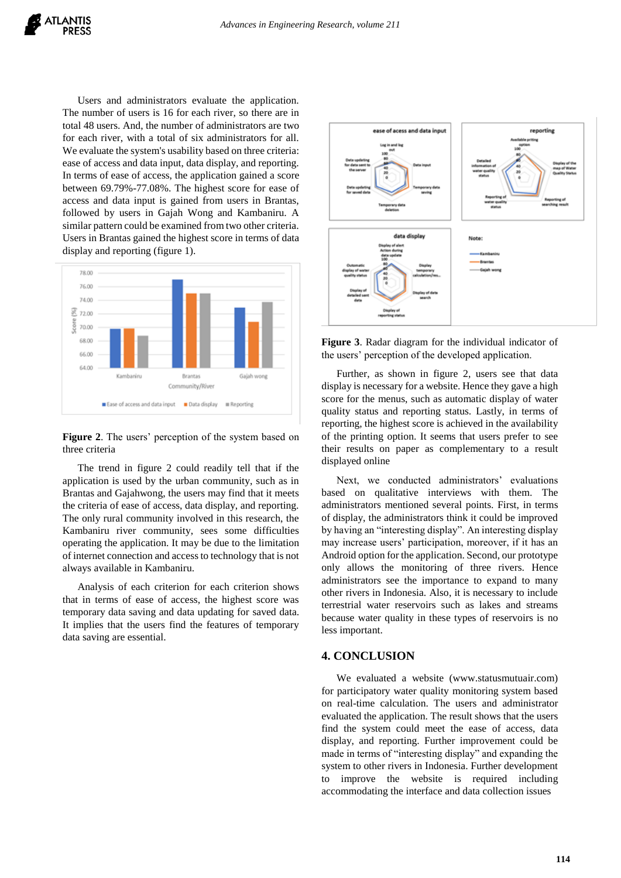Users and administrators evaluate the application. The number of users is 16 for each river, so there are in total 48 users. And, the number of administrators are two for each river, with a total of six administrators for all. We evaluate the system's usability based on three criteria: ease of access and data input, data display, and reporting. In terms of ease of access, the application gained a score between 69.79%-77.08%. The highest score for ease of access and data input is gained from users in Brantas, followed by users in Gajah Wong and Kambaniru. A similar pattern could be examined from two other criteria. Users in Brantas gained the highest score in terms of data display and reporting (figure 1).



#### **Figure 2**. The users' perception of the system based on three criteria

The trend in figure 2 could readily tell that if the application is used by the urban community, such as in Brantas and Gajahwong, the users may find that it meets the criteria of ease of access, data display, and reporting. The only rural community involved in this research, the Kambaniru river community, sees some difficulties operating the application. It may be due to the limitation of internet connection and access to technology that is not always available in Kambaniru.

Analysis of each criterion for each criterion shows that in terms of ease of access, the highest score was temporary data saving and data updating for saved data. It implies that the users find the features of temporary data saving are essential.



**Figure 3**. Radar diagram for the individual indicator of the users' perception of the developed application.

Further, as shown in figure 2, users see that data display is necessary for a website. Hence they gave a high score for the menus, such as automatic display of water quality status and reporting status. Lastly, in terms of reporting, the highest score is achieved in the availability of the printing option. It seems that users prefer to see their results on paper as complementary to a result displayed online

Next, we conducted administrators' evaluations based on qualitative interviews with them. The administrators mentioned several points. First, in terms of display, the administrators think it could be improved by having an "interesting display". An interesting display may increase users' participation, moreover, if it has an Android option for the application. Second, our prototype only allows the monitoring of three rivers. Hence administrators see the importance to expand to many other rivers in Indonesia. Also, it is necessary to include terrestrial water reservoirs such as lakes and streams because water quality in these types of reservoirs is no less important.

#### **4. CONCLUSION**

We evaluated a website (www.statusmutuair.com) for participatory water quality monitoring system based on real-time calculation. The users and administrator evaluated the application. The result shows that the users find the system could meet the ease of access, data display, and reporting. Further improvement could be made in terms of "interesting display" and expanding the system to other rivers in Indonesia. Further development to improve the website is required including accommodating the interface and data collection issues